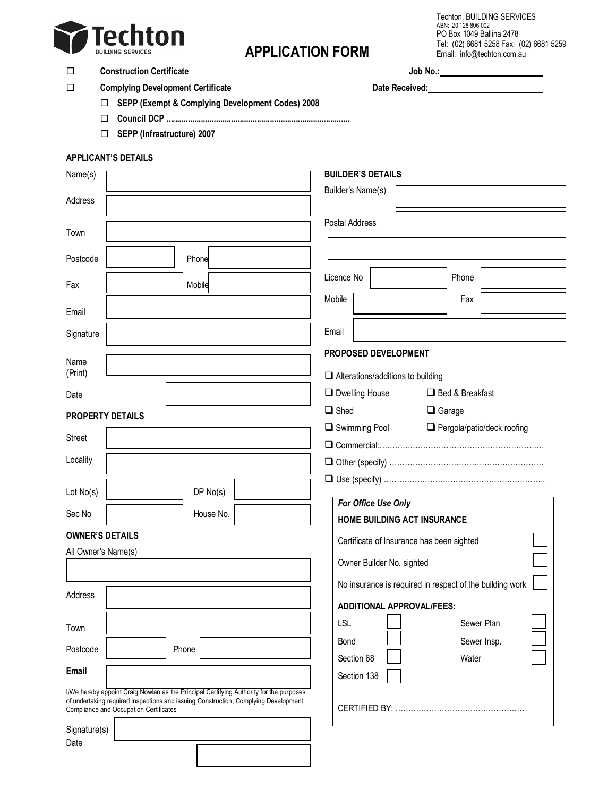

# **APPLICATION FORM**

Techton, BUILDING SERVICES ABN: 20 128 806 002 PO Box 1049 Ballina 2478 Tel: (02) 6681 5258 Fax: (02) 6681 5259 Email: info@techton.com.au

### □ Construction Certificate **Job No.:** 30 Document of the Unit of the Unit of the Unit of the Unit of the Unit of the Unit of the Unit of the Unit of the Unit of the Unit of the Unit of the Unit of the Unit of the Unit of

□ Complying Development Certificate and the complete Date Received: <u>Date Received:</u> 2011

- **SEPP (Exempt & Complying Development Codes) 2008**
- **Council DCP .....................................................................................**
- **SEPP (Infrastructure) 2007**

#### **APPLICANT'S DETAILS**

| Name(s)                                                                                                                                                                                                                   | <b>BUILDER'S DETAILS</b>                                 |
|---------------------------------------------------------------------------------------------------------------------------------------------------------------------------------------------------------------------------|----------------------------------------------------------|
| Address                                                                                                                                                                                                                   | Builder's Name(s)                                        |
| Town                                                                                                                                                                                                                      | Postal Address                                           |
| Phone<br>Postcode                                                                                                                                                                                                         |                                                          |
| Fax<br>Mobile                                                                                                                                                                                                             | Phone<br>Licence No                                      |
| Email                                                                                                                                                                                                                     | Mobile<br>Fax                                            |
| Signature                                                                                                                                                                                                                 | Email                                                    |
|                                                                                                                                                                                                                           | PROPOSED DEVELOPMENT                                     |
| Name<br>(Print)                                                                                                                                                                                                           | $\Box$ Alterations/additions to building                 |
| Date                                                                                                                                                                                                                      | $\Box$ Dwelling House<br>□ Bed & Breakfast               |
| <b>PROPERTY DETAILS</b>                                                                                                                                                                                                   | $\Box$ Shed<br>$\Box$ Garage                             |
|                                                                                                                                                                                                                           | Swimming Pool<br>$\Box$ Pergola/patio/deck roofing       |
| Street                                                                                                                                                                                                                    |                                                          |
| Locality                                                                                                                                                                                                                  |                                                          |
|                                                                                                                                                                                                                           |                                                          |
| DP No(s)<br>Lot No(s)                                                                                                                                                                                                     | For Office Use Only                                      |
| Sec No<br>House No.                                                                                                                                                                                                       | HOME BUILDING ACT INSURANCE                              |
| <b>OWNER'S DETAILS</b>                                                                                                                                                                                                    | Certificate of Insurance has been sighted                |
| All Owner's Name(s)                                                                                                                                                                                                       | Owner Builder No. sighted                                |
|                                                                                                                                                                                                                           | No insurance is required in respect of the building work |
| Address                                                                                                                                                                                                                   |                                                          |
|                                                                                                                                                                                                                           | <b>ADDITIONAL APPROVAL/FEES:</b>                         |
| Town                                                                                                                                                                                                                      | <b>LSL</b><br>Sewer Plan                                 |
| Postcode<br>Phone                                                                                                                                                                                                         | Bond<br>Sewer Insp.<br>Section 68<br>Water               |
| Email                                                                                                                                                                                                                     | Section 138                                              |
| I/We hereby appoint Craig Nowlan as the Principal Certifying Authority for the purposes<br>of undertaking required inspections and issuing Construction, Complying Development,<br>Compliance and Occupation Certificates |                                                          |
| Signature(s)                                                                                                                                                                                                              |                                                          |
| Date                                                                                                                                                                                                                      |                                                          |